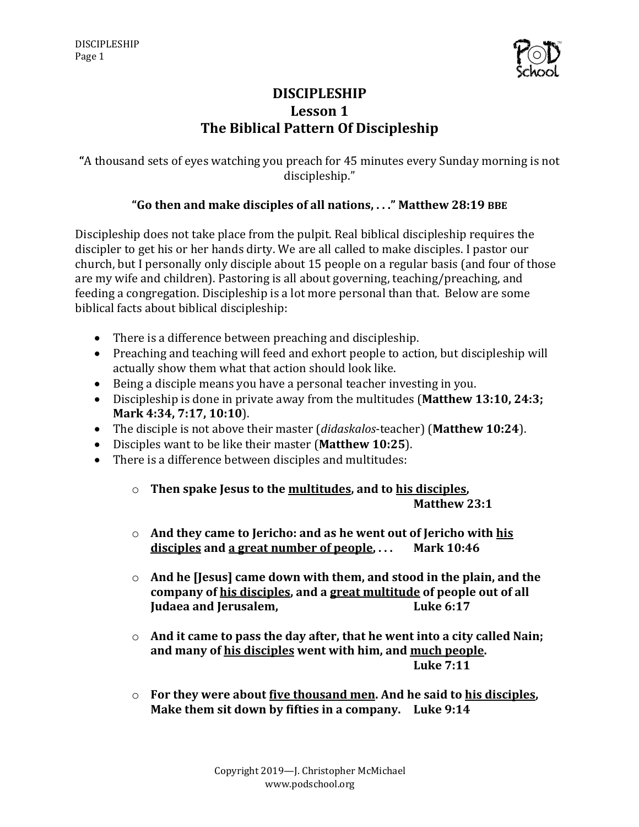

# **DISCIPLESHIP** Lesson 1 **The Biblical Pattern Of Discipleship**

"A thousand sets of eyes watching you preach for 45 minutes every Sunday morning is not discipleship."

### **"Go then and make disciples of all nations, . . ." Matthew 28:19 BBE**

Discipleship does not take place from the pulpit. Real biblical discipleship requires the discipler to get his or her hands dirty. We are all called to make disciples. I pastor our church, but I personally only disciple about 15 people on a regular basis (and four of those are my wife and children). Pastoring is all about governing, teaching/preaching, and feeding a congregation. Discipleship is a lot more personal than that. Below are some biblical facts about biblical discipleship:

- $\bullet$  There is a difference between preaching and discipleship.
- Preaching and teaching will feed and exhort people to action, but discipleship will actually show them what that action should look like.
- Being a disciple means you have a personal teacher investing in you.
- Discipleship is done in private away from the multitudes (Matthew 13:10, 24:3; **Mark 4:34, 7:17, 10:10**).
- The disciple is not above their master (*didaskalos*-teacher) (Matthew 10:24).
- Disciples want to be like their master (Matthew 10:25).
- There is a difference between disciples and multitudes:
	- o **Then spake Jesus to the multitudes, and to his disciples, Matthew 23:1**
	- o And they came to Jericho: and as he went out of Jericho with his disciples and a great number of people, ... Mark 10:46
	- $\circ$  And he [Jesus] came down with them, and stood in the plain, and the company of his disciples, and a great multitude of people out of all **Iudaea and Jerusalem, Luke 6:17**
	- $\circ$  And it came to pass the day after, that he went into a city called Nain; and many of his disciples went with him, and much people. **Luke 7:11**
	- o **For they were about <u>five thousand men</u>. And he said to his disciples, Make them sit down by fifties in a company.** Luke 9:14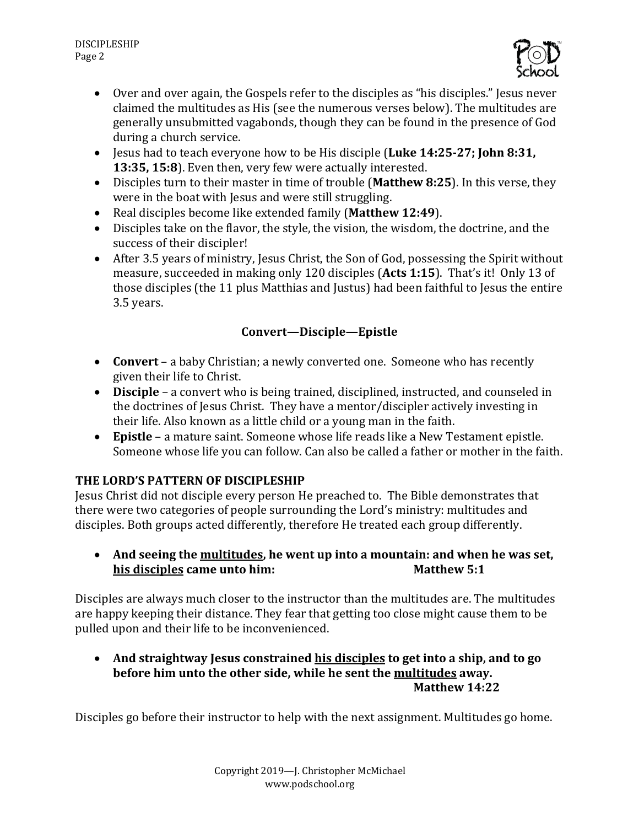

- Over and over again, the Gospels refer to the disciples as "his disciples." Jesus never claimed the multitudes as His (see the numerous verses below). The multitudes are generally unsubmitted vagabonds, though they can be found in the presence of God during a church service.
- Jesus had to teach everyone how to be His disciple (Luke 14:25-27; John 8:31, **13:35, 15:8**). Even then, very few were actually interested.
- Disciples turn to their master in time of trouble (Matthew 8:25). In this verse, they were in the boat with Jesus and were still struggling.
- Real disciples become like extended family (Matthew 12:49).
- Disciples take on the flavor, the style, the vision, the wisdom, the doctrine, and the success of their discipler!
- After 3.5 years of ministry, Jesus Christ, the Son of God, possessing the Spirit without measure, succeeded in making only 120 disciples (Acts 1:15). That's it! Only 13 of those disciples (the 11 plus Matthias and Justus) had been faithful to Jesus the entire 3.5 years.

# **Convert—Disciple—Epistle**

- **Convert** a baby Christian; a newly converted one. Someone who has recently given their life to Christ.
- **Disciple** a convert who is being trained, disciplined, instructed, and counseled in the doctrines of Jesus Christ. They have a mentor/discipler actively investing in their life. Also known as a little child or a young man in the faith.
- Epistle a mature saint. Someone whose life reads like a New Testament epistle. Someone whose life you can follow. Can also be called a father or mother in the faith.

## **THE LORD'S PATTERN OF DISCIPLESHIP**

Jesus Christ did not disciple every person He preached to. The Bible demonstrates that there were two categories of people surrounding the Lord's ministry: multitudes and disciples. Both groups acted differently, therefore He treated each group differently.

• And seeing the multitudes, he went up into a mountain: and when he was set, **his disciples came unto him:** Matthew 5:1

Disciples are always much closer to the instructor than the multitudes are. The multitudes are happy keeping their distance. They fear that getting too close might cause them to be pulled upon and their life to be inconvenienced.

• And straightway Jesus constrained his disciples to get into a ship, and to go before him unto the other side, while he sent the **multitudes** away. **Matthew 14:22**

Disciples go before their instructor to help with the next assignment. Multitudes go home.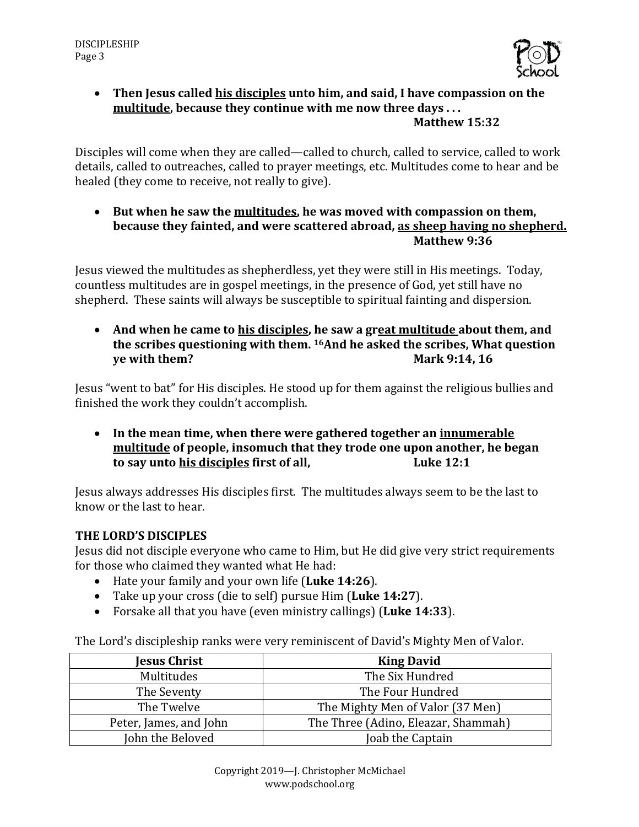

### • Then Jesus called his disciples unto him, and said, I have compassion on the **multitude, because they continue with me now three days ... Matthew 15:32**

Disciples will come when they are called—called to church, called to service, called to work details, called to outreaches, called to prayer meetings, etc. Multitudes come to hear and be healed (they come to receive, not really to give).

• But when he saw the multitudes, he was moved with compassion on them, **because they fainted, and were scattered abroad, as sheep having no shepherd. Matthew 9:36**

Jesus viewed the multitudes as shepherdless, yet they were still in His meetings. Today, countless multitudes are in gospel meetings, in the presence of God, yet still have no shepherd. These saints will always be susceptible to spiritual fainting and dispersion.

• And when he came to his disciples, he saw a great multitude about them, and the scribes questioning with them. <sup>16</sup>And he asked the scribes, What question **ye** with them? **Mark** 9:14, 16

Jesus "went to bat" for His disciples. He stood up for them against the religious bullies and finished the work they couldn't accomplish.

• In the mean time, when there were gathered together an innumerable **multitude** of people, insomuch that they trode one upon another, he began **to say unto his disciples first of all, Luke 12:1** 

Jesus always addresses His disciples first. The multitudes always seem to be the last to know or the last to hear.

## **THE LORD'S DISCIPLES**

Jesus did not disciple everyone who came to Him, but He did give very strict requirements for those who claimed they wanted what He had:

- Hate your family and your own life (Luke 14:26).
- Take up your cross (die to self) pursue Him (Luke 14:27).
- Forsake all that you have (even ministry callings) (Luke 14:33).

The Lord's discipleship ranks were very reminiscent of David's Mighty Men of Valor.

| Jesus Christ           | <b>King David</b>                   |
|------------------------|-------------------------------------|
| Multitudes             | The Six Hundred                     |
| The Seventy            | The Four Hundred                    |
| The Twelve             | The Mighty Men of Valor (37 Men)    |
| Peter, James, and John | The Three (Adino, Eleazar, Shammah) |
| John the Beloved       | Joab the Captain                    |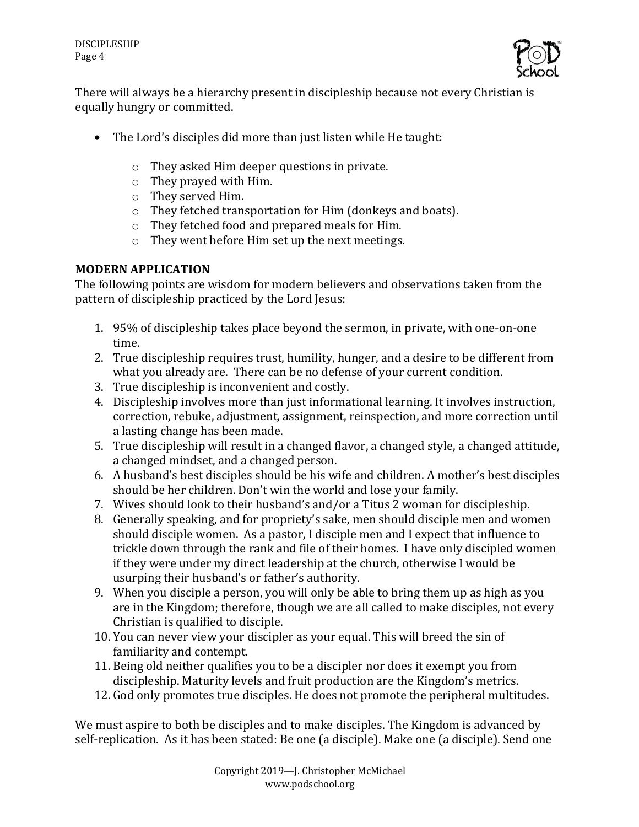

There will always be a hierarchy present in discipleship because not every Christian is equally hungry or committed.

- The Lord's disciples did more than just listen while He taught:
	- $\circ$  They asked Him deeper questions in private.
	- $\circ$  They prayed with Him.
	- $\circ$  They served Him.
	- $\circ$  They fetched transportation for Him (donkeys and boats).
	- $\circ$  They fetched food and prepared meals for Him.
	- $\circ$  They went before Him set up the next meetings.

# **MODERN APPLICATION**

The following points are wisdom for modern believers and observations taken from the pattern of discipleship practiced by the Lord Jesus:

- 1. 95% of discipleship takes place beyond the sermon, in private, with one-on-one time.
- 2. True discipleship requires trust, humility, hunger, and a desire to be different from what you already are. There can be no defense of your current condition.
- 3. True discipleship is inconvenient and costly.
- 4. Discipleship involves more than just informational learning. It involves instruction, correction, rebuke, adjustment, assignment, reinspection, and more correction until a lasting change has been made.
- 5. True discipleship will result in a changed flavor, a changed style, a changed attitude, a changed mindset, and a changed person.
- 6. A husband's best disciples should be his wife and children. A mother's best disciples should be her children. Don't win the world and lose your family.
- 7. Wives should look to their husband's and/or a Titus 2 woman for discipleship.
- 8. Generally speaking, and for propriety's sake, men should disciple men and women should disciple women. As a pastor, I disciple men and I expect that influence to trickle down through the rank and file of their homes. I have only discipled women if they were under my direct leadership at the church, otherwise I would be usurping their husband's or father's authority.
- 9. When you disciple a person, you will only be able to bring them up as high as you are in the Kingdom; therefore, though we are all called to make disciples, not every Christian is qualified to disciple.
- 10. You can never view your discipler as your equal. This will breed the sin of familiarity and contempt.
- 11. Being old neither qualifies you to be a discipler nor does it exempt you from discipleship. Maturity levels and fruit production are the Kingdom's metrics.
- 12. God only promotes true disciples. He does not promote the peripheral multitudes.

We must aspire to both be disciples and to make disciples. The Kingdom is advanced by self-replication. As it has been stated: Be one (a disciple). Make one (a disciple). Send one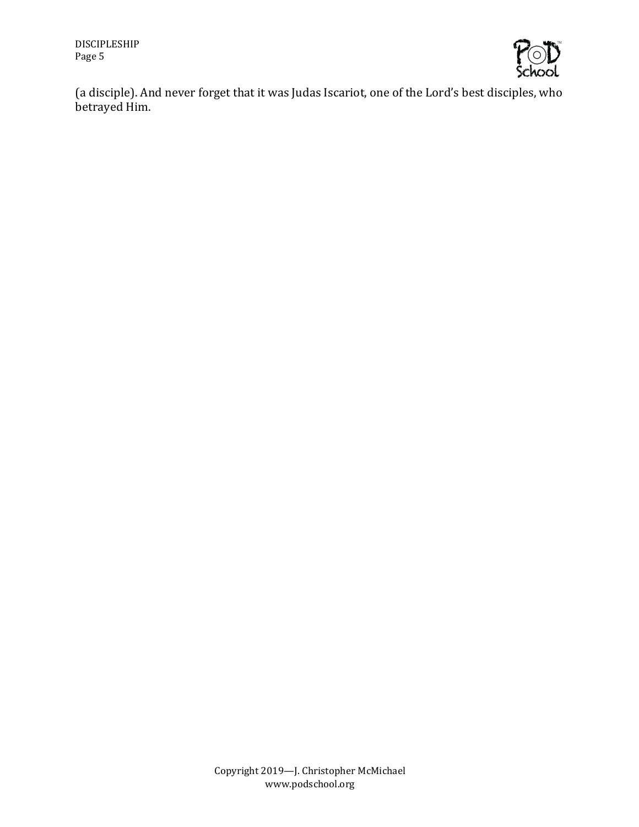

(a disciple). And never forget that it was Judas Iscariot, one of the Lord's best disciples, who betrayed Him.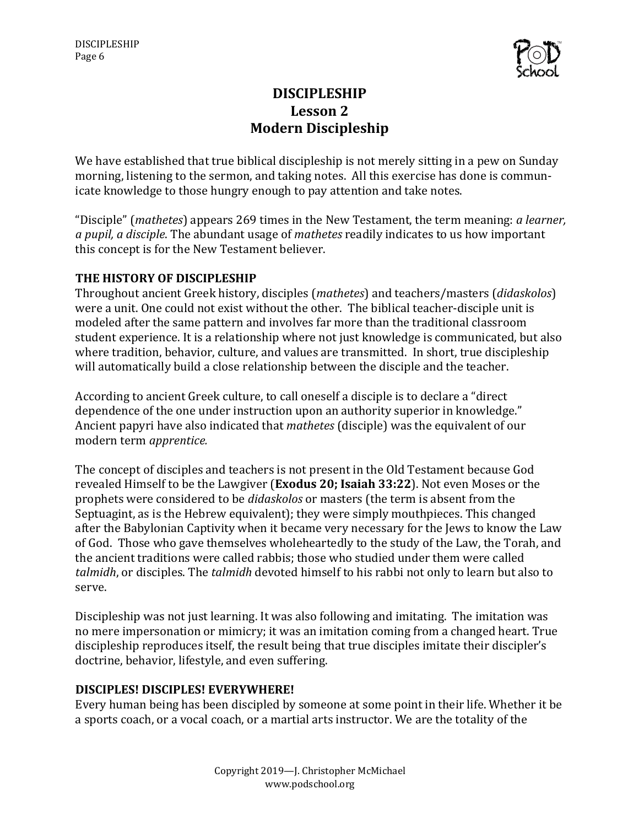

# **DISCIPLESHIP** Lesson 2 **Modern Discipleship**

We have established that true biblical discipleship is not merely sitting in a pew on Sunday morning, listening to the sermon, and taking notes. All this exercise has done is communicate knowledge to those hungry enough to pay attention and take notes.

"Disciple" (*mathetes*) appears 269 times in the New Testament, the term meaning: *a learner*, a *pupil, a disciple*. The abundant usage of *mathetes* readily indicates to us how important this concept is for the New Testament believer.

### **THE HISTORY OF DISCIPLESHIP**

Throughout ancient Greek history, disciples (*mathetes*) and teachers/masters (*didaskolos*) were a unit. One could not exist without the other. The biblical teacher-disciple unit is modeled after the same pattern and involves far more than the traditional classroom student experience. It is a relationship where not just knowledge is communicated, but also where tradition, behavior, culture, and values are transmitted. In short, true discipleship will automatically build a close relationship between the disciple and the teacher.

According to ancient Greek culture, to call oneself a disciple is to declare a "direct dependence of the one under instruction upon an authority superior in knowledge." Ancient papyri have also indicated that *mathetes* (disciple) was the equivalent of our modern term *apprentice.*

The concept of disciples and teachers is not present in the Old Testament because God revealed Himself to be the Lawgiver (**Exodus 20; Isaiah 33:22**). Not even Moses or the prophets were considered to be *didaskolos* or masters (the term is absent from the Septuagint, as is the Hebrew equivalent); they were simply mouthpieces. This changed after the Babylonian Captivity when it became very necessary for the Jews to know the Law of God. Those who gave themselves wholeheartedly to the study of the Law, the Torah, and the ancient traditions were called rabbis; those who studied under them were called *talmidh*, or disciples. The *talmidh* devoted himself to his rabbi not only to learn but also to serve. 

Discipleship was not just learning. It was also following and imitating. The imitation was no mere impersonation or mimicry; it was an imitation coming from a changed heart. True discipleship reproduces itself, the result being that true disciples imitate their discipler's doctrine, behavior, lifestyle, and even suffering.

## **DISCIPLES! DISCIPLES! EVERYWHERE!**

Every human being has been discipled by someone at some point in their life. Whether it be a sports coach, or a vocal coach, or a martial arts instructor. We are the totality of the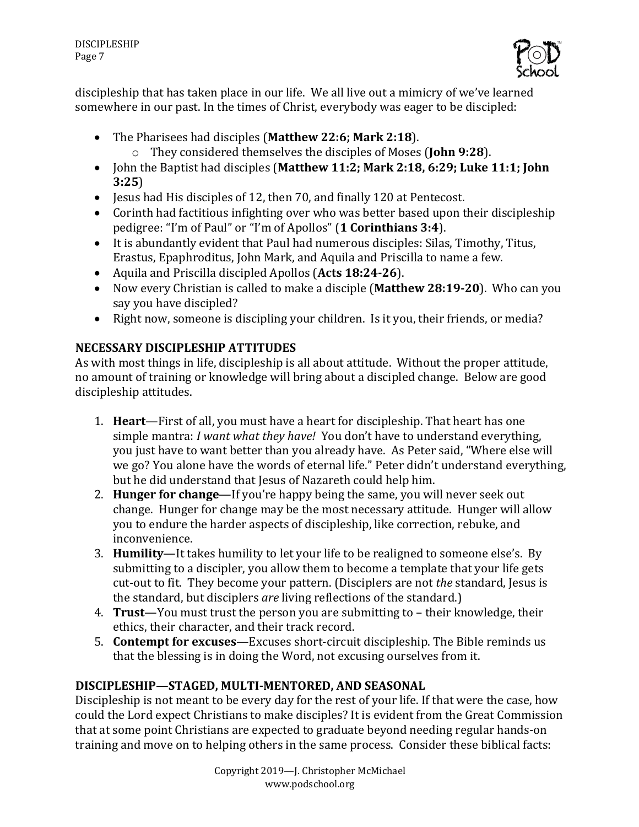

discipleship that has taken place in our life. We all live out a mimicry of we've learned somewhere in our past. In the times of Christ, everybody was eager to be discipled:

- The Pharisees had disciples (Matthew 22:6; Mark 2:18). o They considered themselves the disciples of Moses (**John 9:28**).
- John the Baptist had disciples (Matthew 11:2; Mark 2:18, 6:29; Luke 11:1; John **3:25**)
- Jesus had His disciples of 12, then 70, and finally 120 at Pentecost.
- Corinth had factitious infighting over who was better based upon their discipleship pedigree: "I'm of Paul" or "I'm of Apollos" (1 **Corinthians 3:4**).
- $\bullet$  It is abundantly evident that Paul had numerous disciples: Silas, Timothy, Titus, Erastus, Epaphroditus, John Mark, and Aquila and Priscilla to name a few.
- Aquila and Priscilla discipled Apollos (Acts 18:24-26).
- Now every Christian is called to make a disciple (Matthew 28:19-20). Who can you say you have discipled?
- Right now, someone is discipling your children. Is it you, their friends, or media?

# **NECESSARY DISCIPLESHIP ATTITUDES**

As with most things in life, discipleship is all about attitude. Without the proper attitude, no amount of training or knowledge will bring about a discipled change. Below are good discipleship attitudes.

- 1. **Heart**—First of all, you must have a heart for discipleship. That heart has one simple mantra: *I want what they have!* You don't have to understand everything, you just have to want better than you already have. As Peter said, "Where else will we go? You alone have the words of eternal life." Peter didn't understand everything, but he did understand that Jesus of Nazareth could help him.
- 2. **Hunger for change**—If you're happy being the same, you will never seek out change. Hunger for change may be the most necessary attitude. Hunger will allow you to endure the harder aspects of discipleship, like correction, rebuke, and inconvenience.
- 3. **Humility**—It takes humility to let your life to be realigned to someone else's. By submitting to a discipler, you allow them to become a template that your life gets cut-out to fit. They become your pattern. (Disciplers are not *the* standard, Jesus is the standard, but disciplers *are* living reflections of the standard.)
- 4. **Trust**—You must trust the person you are submitting to their knowledge, their ethics, their character, and their track record.
- 5. **Contempt for excuses**—Excuses short-circuit discipleship. The Bible reminds us that the blessing is in doing the Word, not excusing ourselves from it.

# DISCIPLESHIP-STAGED, MULTI-MENTORED, AND SEASONAL

Discipleship is not meant to be every day for the rest of your life. If that were the case, how could the Lord expect Christians to make disciples? It is evident from the Great Commission that at some point Christians are expected to graduate beyond needing regular hands-on training and move on to helping others in the same process. Consider these biblical facts: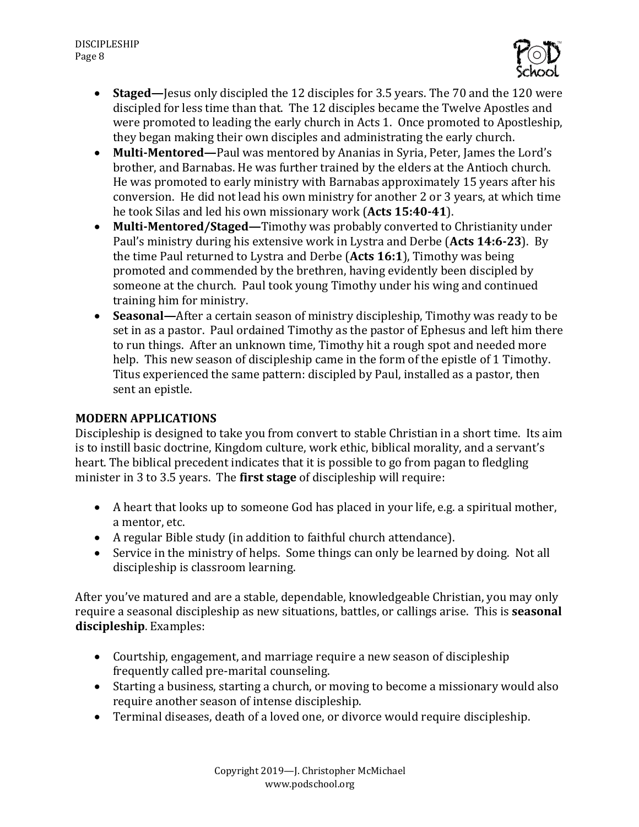

- **Staged**—Jesus only discipled the 12 disciples for 3.5 years. The 70 and the 120 were discipled for less time than that. The 12 disciples became the Twelve Apostles and were promoted to leading the early church in Acts 1. Once promoted to Apostleship, they began making their own disciples and administrating the early church.
- Multi-Mentored—Paul was mentored by Ananias in Syria, Peter, James the Lord's brother, and Barnabas. He was further trained by the elders at the Antioch church. He was promoted to early ministry with Barnabas approximately 15 years after his conversion. He did not lead his own ministry for another 2 or 3 years, at which time he took Silas and led his own missionary work (Acts 15:40-41).
- Multi-Mentored/Staged—Timothy was probably converted to Christianity under Paul's ministry during his extensive work in Lystra and Derbe (Acts 14:6-23). By the time Paul returned to Lystra and Derbe (Acts 16:1), Timothy was being promoted and commended by the brethren, having evidently been discipled by someone at the church. Paul took young Timothy under his wing and continued training him for ministry.
- **Seasonal—**After a certain season of ministry discipleship, Timothy was ready to be set in as a pastor. Paul ordained Timothy as the pastor of Ephesus and left him there to run things. After an unknown time, Timothy hit a rough spot and needed more help. This new season of discipleship came in the form of the epistle of 1 Timothy. Titus experienced the same pattern: discipled by Paul, installed as a pastor, then sent an epistle.

#### **MODERN APPLICATIONS**

Discipleship is designed to take you from convert to stable Christian in a short time. Its aim is to instill basic doctrine, Kingdom culture, work ethic, biblical morality, and a servant's heart. The biblical precedent indicates that it is possible to go from pagan to fledgling minister in 3 to 3.5 years. The **first stage** of discipleship will require:

- A heart that looks up to someone God has placed in your life, e.g. a spiritual mother, a mentor, etc.
- A regular Bible study (in addition to faithful church attendance).
- Service in the ministry of helps. Some things can only be learned by doing. Not all discipleship is classroom learning.

After you've matured and are a stable, dependable, knowledgeable Christian, you may only require a seasonal discipleship as new situations, battles, or callings arise. This is **seasonal discipleship**. Examples:

- Courtship, engagement, and marriage require a new season of discipleship frequently called pre-marital counseling.
- Starting a business, starting a church, or moving to become a missionary would also require another season of intense discipleship.
- Terminal diseases, death of a loved one, or divorce would require discipleship.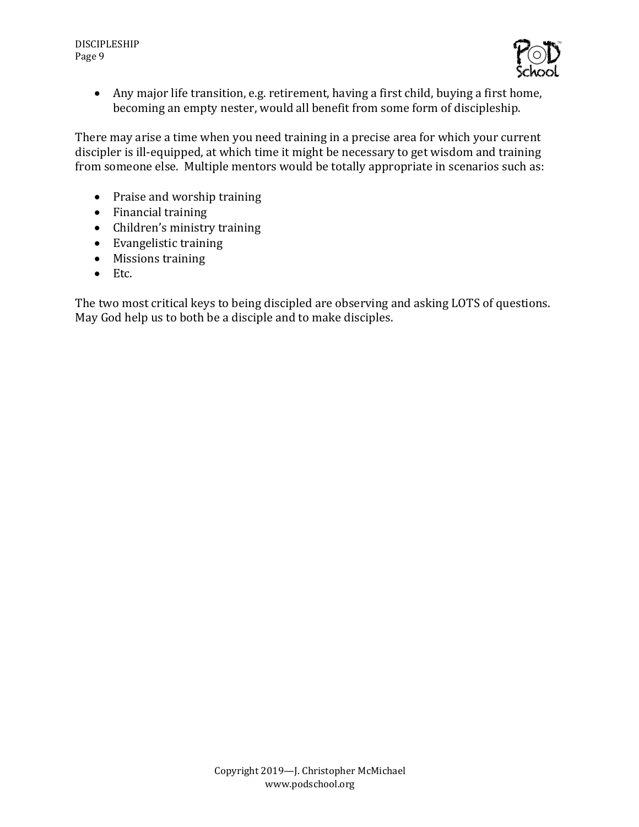

• Any major life transition, e.g. retirement, having a first child, buying a first home, becoming an empty nester, would all benefit from some form of discipleship.

There may arise a time when you need training in a precise area for which your current discipler is ill-equipped, at which time it might be necessary to get wisdom and training from someone else. Multiple mentors would be totally appropriate in scenarios such as:

- Praise and worship training
- Financial training
- Children's ministry training
- Evangelistic training
- Missions training
- Etc.

The two most critical keys to being discipled are observing and asking LOTS of questions. May God help us to both be a disciple and to make disciples.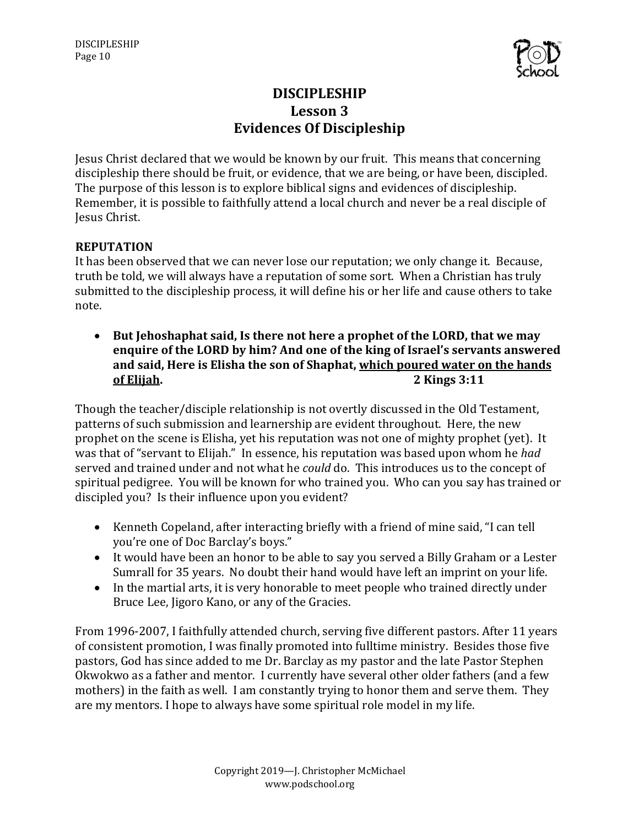

# **DISCIPLESHIP Lesson 3 Evidences Of Discipleship**

Jesus Christ declared that we would be known by our fruit. This means that concerning discipleship there should be fruit, or evidence, that we are being, or have been, discipled. The purpose of this lesson is to explore biblical signs and evidences of discipleship. Remember, it is possible to faithfully attend a local church and never be a real disciple of Jesus Christ. 

### **REPUTATION**

It has been observed that we can never lose our reputation; we only change it. Because, truth be told, we will always have a reputation of some sort. When a Christian has truly submitted to the discipleship process, it will define his or her life and cause others to take note.

• But Jehoshaphat said, Is there not here a prophet of the LORD, that we may enquire of the LORD by him? And one of the king of Israel's servants answered and said, Here is Elisha the son of Shaphat, which poured water on the hands **of Elijah. 2 Kings** 3:11

Though the teacher/disciple relationship is not overtly discussed in the Old Testament, patterns of such submission and learnership are evident throughout. Here, the new prophet on the scene is Elisha, yet his reputation was not one of mighty prophet (yet). It was that of "servant to Elijah." In essence, his reputation was based upon whom he *had* served and trained under and not what he *could* do. This introduces us to the concept of spiritual pedigree. You will be known for who trained you. Who can you say has trained or discipled you? Is their influence upon you evident?

- Kenneth Copeland, after interacting briefly with a friend of mine said, "I can tell you're one of Doc Barclay's boys."
- It would have been an honor to be able to say you served a Billy Graham or a Lester Sumrall for 35 years. No doubt their hand would have left an imprint on your life.
- In the martial arts, it is very honorable to meet people who trained directly under Bruce Lee, Jigoro Kano, or any of the Gracies.

From 1996-2007, I faithfully attended church, serving five different pastors. After 11 years of consistent promotion, I was finally promoted into fulltime ministry. Besides those five pastors, God has since added to me Dr. Barclay as my pastor and the late Pastor Stephen Okwokwo as a father and mentor. I currently have several other older fathers (and a few mothers) in the faith as well. I am constantly trying to honor them and serve them. They are my mentors. I hope to always have some spiritual role model in my life.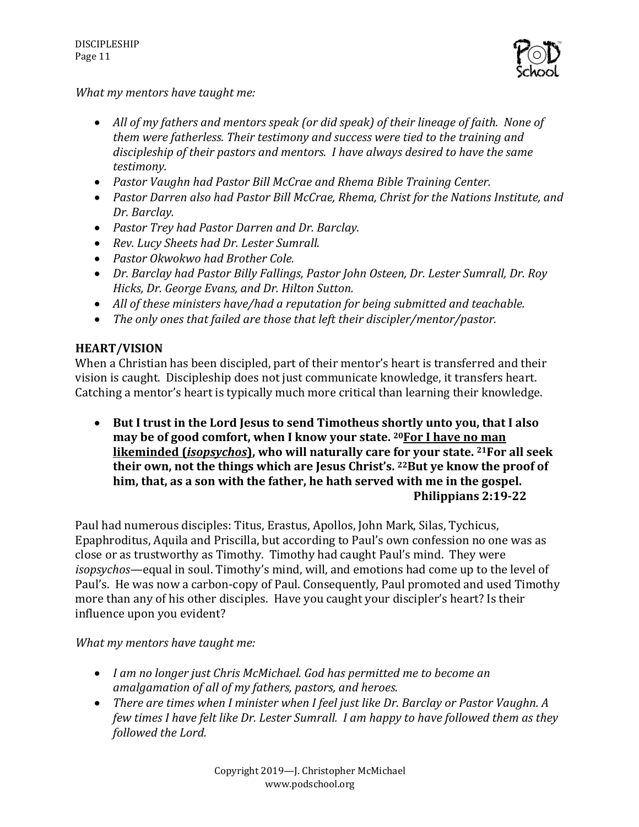

*What my mentors have taught me:* 

- All of my fathers and mentors speak (or did speak) of their lineage of faith. None of *them* were fatherless. Their testimony and success were tied to the training and discipleship of their pastors and mentors. I have always desired to have the same *testimony.*
- Pastor Vaughn had Pastor Bill McCrae and Rhema Bible Training Center.
- Pastor Darren also had Pastor Bill McCrae, Rhema, Christ for the Nations Institute, and *Dr. Barclay.*
- *Pastor Trey had Pastor Darren and Dr. Barclay.*
- Rev. Lucy Sheets had Dr. Lester Sumrall.
- *Pastor Okwokwo had Brother Cole.*
- *Dr. Barclay had Pastor Billy Fallings, Pastor John Osteen, Dr. Lester Sumrall, Dr. Roy* Hicks, Dr. George Evans, and Dr. Hilton Sutton.
- All of these ministers have/had a reputation for being submitted and teachable.
- The only ones that failed are those that left their discipler/mentor/pastor.

#### **HEART/VISION**

When a Christian has been discipled, part of their mentor's heart is transferred and their vision is caught. Discipleship does not just communicate knowledge, it transfers heart. Catching a mentor's heart is typically much more critical than learning their knowledge.

• But I trust in the Lord Jesus to send Timotheus shortly unto you, that I also may be of good comfort, when I know your state, <sup>20</sup>For I have no man **likeminded (***isopsychos***), who will naturally care for your state. <sup>21</sup>For all seek** their own, not the things which are Jesus Christ's. <sup>22</sup>But ye know the proof of him, that, as a son with the father, he hath served with me in the gospel. **Philippians 2:19-22**

Paul had numerous disciples: Titus, Erastus, Apollos, John Mark, Silas, Tychicus, Epaphroditus, Aquila and Priscilla, but according to Paul's own confession no one was as close or as trustworthy as Timothy. Timothy had caught Paul's mind. They were *isopsychos*—equal in soul. Timothy's mind, will, and emotions had come up to the level of Paul's. He was now a carbon-copy of Paul. Consequently, Paul promoted and used Timothy more than any of his other disciples. Have you caught your discipler's heart? Is their influence upon you evident?

*What my mentors have taught me:* 

- I am no longer just Chris McMichael. God has permitted me to become an *amalgamation of all of my fathers, pastors, and heroes.*
- There are times when I minister when I feel just like Dr. Barclay or Pastor Vaughn. A *few times I have felt like Dr. Lester Sumrall. I am happy to have followed them as they followed the Lord.*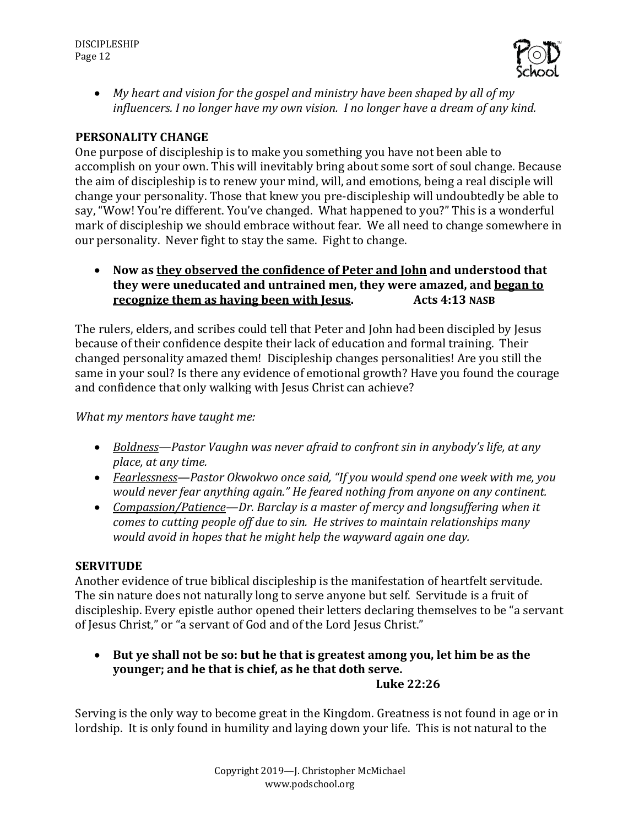

• *My heart and vision for the gospel and ministry have been shaped by all of my influencers. I no longer have my own vision. I no longer have a dream of any kind.* 

#### **PERSONALITY CHANGE**

One purpose of discipleship is to make you something you have not been able to accomplish on your own. This will inevitably bring about some sort of soul change. Because the aim of discipleship is to renew your mind, will, and emotions, being a real disciple will change your personality. Those that knew you pre-discipleship will undoubtedly be able to say, "Wow! You're different. You've changed. What happened to you?" This is a wonderful mark of discipleship we should embrace without fear. We all need to change somewhere in our personality. Never fight to stay the same. Fight to change.

• Now as they observed the confidence of Peter and John and understood that **they were uneducated and untrained men, they were amazed, and began to recognize them as having been with Jesus.** Acts 4:13 NASB

The rulers, elders, and scribes could tell that Peter and John had been discipled by Jesus because of their confidence despite their lack of education and formal training. Their changed personality amazed them! Discipleship changes personalities! Are you still the same in your soul? Is there any evidence of emotional growth? Have you found the courage and confidence that only walking with Jesus Christ can achieve?

*What* my mentors have taught me:

- *Boldness*—Pastor Vaughn was never afraid to confront sin in anybody's life, at any *place, at any time.*
- *Fearlessness—Pastor Okwokwo once said, "If you would spend one week with me, you would never fear anything again."* He feared nothing from anyone on any continent.
- *Compassion/Patience—Dr. Barclay is a master of mercy and longsuffering when it comes* to cutting people off due to sin. He strives to maintain relationships many *would avoid in hopes that he might help the wayward again one day.*

#### **SERVITUDE**

Another evidence of true biblical discipleship is the manifestation of heartfelt servitude. The sin nature does not naturally long to serve anyone but self. Servitude is a fruit of discipleship. Every epistle author opened their letters declaring themselves to be "a servant of Jesus Christ," or "a servant of God and of the Lord Jesus Christ."

• But ye shall not be so: but he that is greatest among you, let him be as the **younger; and he that is chief, as he that doth serve. Luke 22:26**

Serving is the only way to become great in the Kingdom. Greatness is not found in age or in lordship. It is only found in humility and laying down your life. This is not natural to the